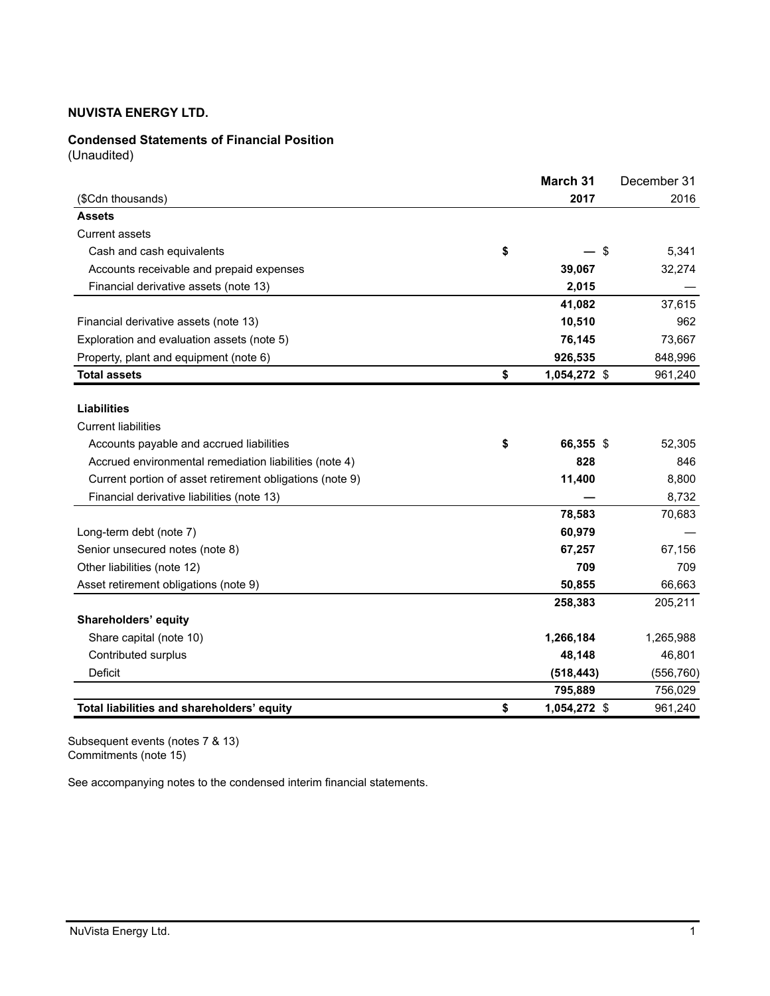## **Condensed Statements of Financial Position**

(Unaudited)

|                                                          | March 31           | December 31 |
|----------------------------------------------------------|--------------------|-------------|
| (\$Cdn thousands)                                        | 2017               | 2016        |
| <b>Assets</b>                                            |                    |             |
| <b>Current assets</b>                                    |                    |             |
| Cash and cash equivalents                                | \$<br>\$           | 5,341       |
| Accounts receivable and prepaid expenses                 | 39,067             | 32,274      |
| Financial derivative assets (note 13)                    | 2,015              |             |
|                                                          | 41,082             | 37,615      |
| Financial derivative assets (note 13)                    | 10,510             | 962         |
| Exploration and evaluation assets (note 5)               | 76,145             | 73,667      |
| Property, plant and equipment (note 6)                   | 926,535            | 848,996     |
| <b>Total assets</b>                                      | \$<br>1,054,272 \$ | 961,240     |
|                                                          |                    |             |
| <b>Liabilities</b>                                       |                    |             |
| <b>Current liabilities</b>                               |                    |             |
| Accounts payable and accrued liabilities                 | \$<br>66,355 \$    | 52,305      |
| Accrued environmental remediation liabilities (note 4)   | 828                | 846         |
| Current portion of asset retirement obligations (note 9) | 11,400             | 8,800       |
| Financial derivative liabilities (note 13)               |                    | 8,732       |
|                                                          | 78,583             | 70,683      |
| Long-term debt (note 7)                                  | 60,979             |             |
| Senior unsecured notes (note 8)                          | 67,257             | 67,156      |
| Other liabilities (note 12)                              | 709                | 709         |
| Asset retirement obligations (note 9)                    | 50,855             | 66,663      |
|                                                          | 258,383            | 205,211     |
| Shareholders' equity                                     |                    |             |
| Share capital (note 10)                                  | 1,266,184          | 1,265,988   |
| Contributed surplus                                      | 48,148             | 46,801      |
| Deficit                                                  | (518, 443)         | (556, 760)  |
|                                                          | 795,889            | 756,029     |
| Total liabilities and shareholders' equity               | \$<br>1,054,272 \$ | 961,240     |

Subsequent events (notes 7 & 13) Commitments (note 15)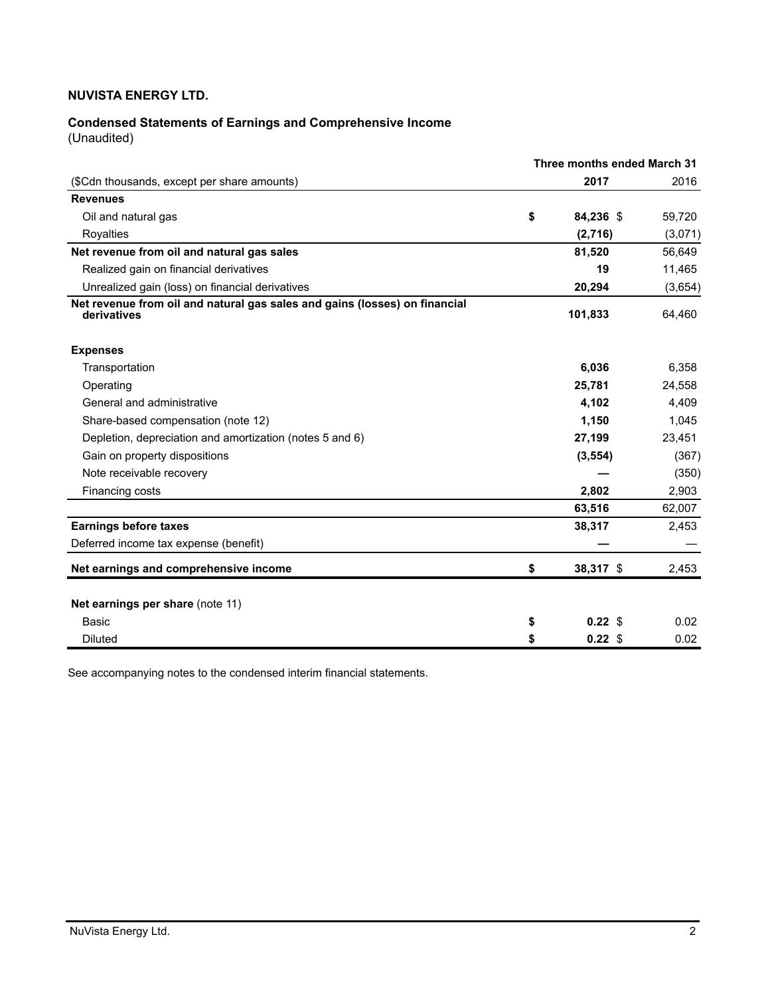# **Condensed Statements of Earnings and Comprehensive Income**

(Unaudited)

|                                                                                           | Three months ended March 31 |         |
|-------------------------------------------------------------------------------------------|-----------------------------|---------|
| (\$Cdn thousands, except per share amounts)                                               | 2017                        | 2016    |
| <b>Revenues</b>                                                                           |                             |         |
| Oil and natural gas                                                                       | \$<br>84,236 \$             | 59,720  |
| Royalties                                                                                 | (2,716)                     | (3,071) |
| Net revenue from oil and natural gas sales                                                | 81,520                      | 56,649  |
| Realized gain on financial derivatives                                                    | 19                          | 11,465  |
| Unrealized gain (loss) on financial derivatives                                           | 20,294                      | (3,654) |
| Net revenue from oil and natural gas sales and gains (losses) on financial<br>derivatives | 101,833                     | 64,460  |
| <b>Expenses</b>                                                                           |                             |         |
| Transportation                                                                            | 6,036                       | 6,358   |
| Operating                                                                                 | 25,781                      | 24,558  |
| General and administrative                                                                | 4,102                       | 4,409   |
| Share-based compensation (note 12)                                                        | 1,150                       | 1,045   |
| Depletion, depreciation and amortization (notes 5 and 6)                                  | 27,199                      | 23,451  |
| Gain on property dispositions                                                             | (3, 554)                    | (367)   |
| Note receivable recovery                                                                  |                             | (350)   |
| Financing costs                                                                           | 2,802                       | 2,903   |
|                                                                                           | 63,516                      | 62,007  |
| <b>Earnings before taxes</b>                                                              | 38,317                      | 2,453   |
| Deferred income tax expense (benefit)                                                     |                             |         |
| Net earnings and comprehensive income                                                     | \$<br>38,317 \$             | 2,453   |
| Net earnings per share (note 11)                                                          |                             |         |
| Basic                                                                                     | \$<br>$0.22$ \$             | 0.02    |
| <b>Diluted</b>                                                                            | \$<br>$0.22$ \$             | 0.02    |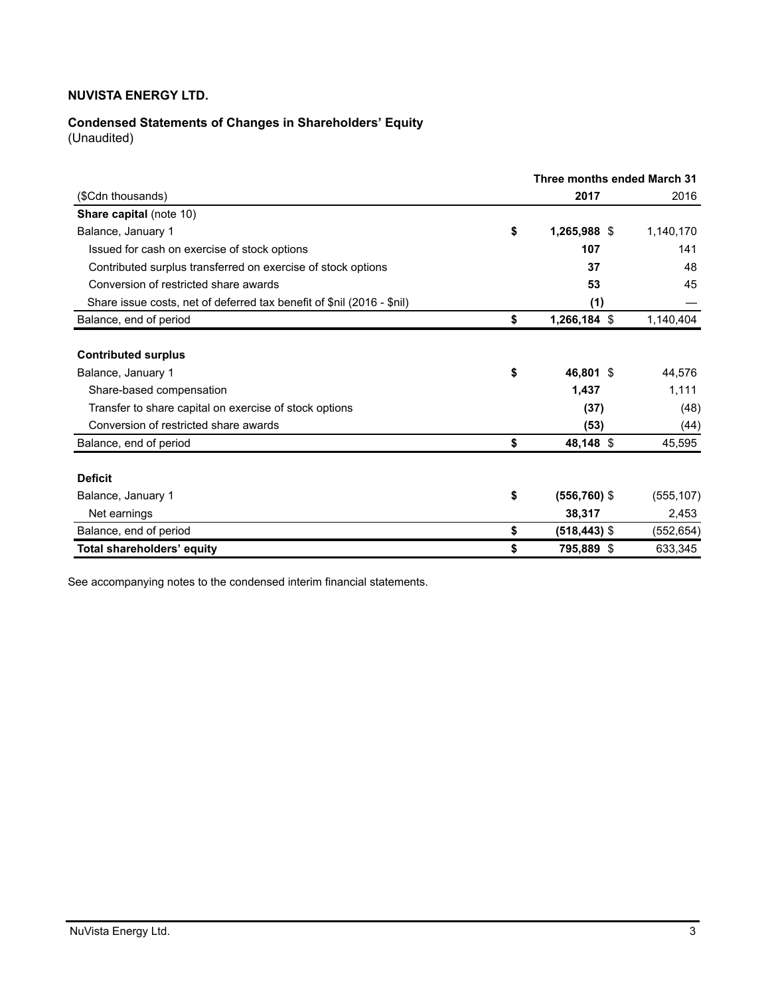# **Condensed Statements of Changes in Shareholders' Equity**

(Unaudited)

|                                                                        | Three months ended March 31 |            |
|------------------------------------------------------------------------|-----------------------------|------------|
| (\$Cdn thousands)                                                      | 2017                        | 2016       |
| <b>Share capital (note 10)</b>                                         |                             |            |
| Balance, January 1                                                     | \$<br>1,265,988 \$          | 1,140,170  |
| Issued for cash on exercise of stock options                           | 107                         | 141        |
| Contributed surplus transferred on exercise of stock options           | 37                          | 48         |
| Conversion of restricted share awards                                  | 53                          | 45         |
| Share issue costs, net of deferred tax benefit of \$nil (2016 - \$nil) | (1)                         |            |
| Balance, end of period                                                 | \$<br>1,266,184 \$          | 1,140,404  |
| <b>Contributed surplus</b>                                             |                             |            |
| Balance, January 1                                                     | \$<br>46,801 \$             | 44,576     |
| Share-based compensation                                               | 1,437                       | 1,111      |
| Transfer to share capital on exercise of stock options                 | (37)                        | (48)       |
| Conversion of restricted share awards                                  | (53)                        | (44)       |
| Balance, end of period                                                 | \$<br>48,148 \$             | 45,595     |
| <b>Deficit</b>                                                         |                             |            |
| Balance, January 1                                                     | \$<br>$(556, 760)$ \$       | (555, 107) |
| Net earnings                                                           | 38,317                      | 2,453      |
| Balance, end of period                                                 | \$<br>(518,443) \$          | (552, 654) |
| Total shareholders' equity                                             | \$<br>795,889 \$            | 633,345    |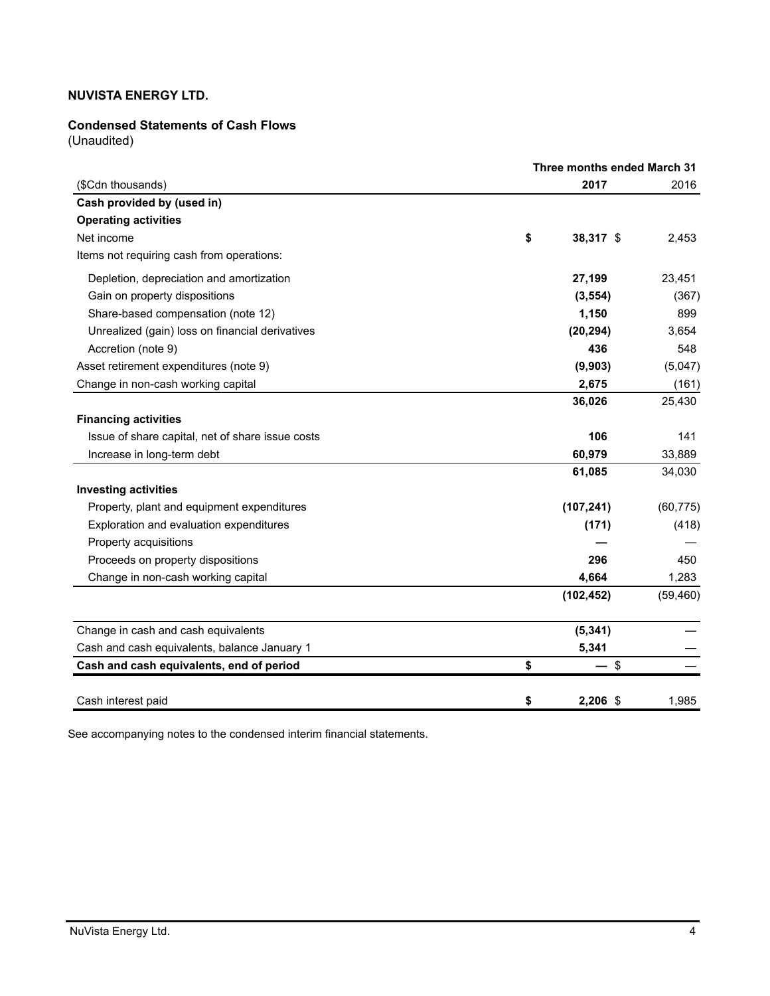#### **Condensed Statements of Cash Flows**

(Unaudited)

|                                                  |    | Three months ended March 31 |           |
|--------------------------------------------------|----|-----------------------------|-----------|
| (\$Cdn thousands)                                |    | 2017                        | 2016      |
| Cash provided by (used in)                       |    |                             |           |
| <b>Operating activities</b>                      |    |                             |           |
| Net income                                       | \$ | 38,317 \$                   | 2,453     |
| Items not requiring cash from operations:        |    |                             |           |
| Depletion, depreciation and amortization         |    | 27,199                      | 23,451    |
| Gain on property dispositions                    |    | (3, 554)                    | (367)     |
| Share-based compensation (note 12)               |    | 1,150                       | 899       |
| Unrealized (gain) loss on financial derivatives  |    | (20, 294)                   | 3,654     |
| Accretion (note 9)                               |    | 436                         | 548       |
| Asset retirement expenditures (note 9)           |    | (9,903)                     | (5,047)   |
| Change in non-cash working capital               |    | 2,675                       | (161)     |
|                                                  |    | 36,026                      | 25,430    |
| <b>Financing activities</b>                      |    |                             |           |
| Issue of share capital, net of share issue costs |    | 106                         | 141       |
| Increase in long-term debt                       |    | 60,979                      | 33,889    |
|                                                  |    | 61,085                      | 34,030    |
| <b>Investing activities</b>                      |    |                             |           |
| Property, plant and equipment expenditures       |    | (107, 241)                  | (60, 775) |
| Exploration and evaluation expenditures          |    | (171)                       | (418)     |
| Property acquisitions                            |    |                             |           |
| Proceeds on property dispositions                |    | 296                         | 450       |
| Change in non-cash working capital               |    | 4,664                       | 1,283     |
|                                                  |    | (102, 452)                  | (59, 460) |
| Change in cash and cash equivalents              |    | (5, 341)                    |           |
| Cash and cash equivalents, balance January 1     |    | 5,341                       |           |
| Cash and cash equivalents, end of period         | \$ | $-$ \$                      |           |
| Cash interest paid                               | \$ | 2,206 \$                    | 1,985     |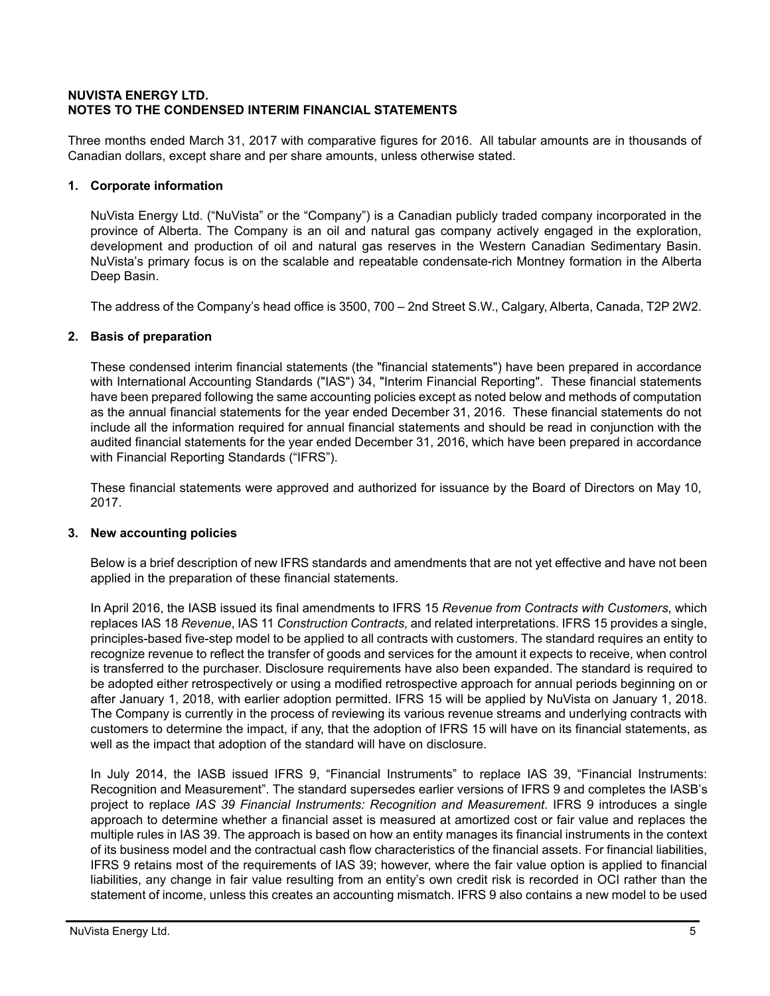#### **NUVISTA ENERGY LTD. NOTES TO THE CONDENSED INTERIM FINANCIAL STATEMENTS**

Three months ended March 31, 2017 with comparative figures for 2016. All tabular amounts are in thousands of Canadian dollars, except share and per share amounts, unless otherwise stated.

## **1. Corporate information**

NuVista Energy Ltd. ("NuVista" or the "Company") is a Canadian publicly traded company incorporated in the province of Alberta. The Company is an oil and natural gas company actively engaged in the exploration, development and production of oil and natural gas reserves in the Western Canadian Sedimentary Basin. NuVista's primary focus is on the scalable and repeatable condensate-rich Montney formation in the Alberta Deep Basin.

The address of the Company's head office is 3500, 700 – 2nd Street S.W., Calgary, Alberta, Canada, T2P 2W2.

## **2. Basis of preparation**

These condensed interim financial statements (the "financial statements") have been prepared in accordance with International Accounting Standards ("IAS") 34, "Interim Financial Reporting". These financial statements have been prepared following the same accounting policies except as noted below and methods of computation as the annual financial statements for the year ended December 31, 2016. These financial statements do not include all the information required for annual financial statements and should be read in conjunction with the audited financial statements for the year ended December 31, 2016, which have been prepared in accordance with Financial Reporting Standards ("IFRS").

These financial statements were approved and authorized for issuance by the Board of Directors on May 10, 2017.

#### **3. New accounting policies**

Below is a brief description of new IFRS standards and amendments that are not yet effective and have not been applied in the preparation of these financial statements.

In April 2016, the IASB issued its final amendments to IFRS 15 *Revenue from Contracts with Customers*, which replaces IAS 18 *Revenue*, IAS 11 *Construction Contracts*, and related interpretations. IFRS 15 provides a single, principles-based five-step model to be applied to all contracts with customers. The standard requires an entity to recognize revenue to reflect the transfer of goods and services for the amount it expects to receive, when control is transferred to the purchaser. Disclosure requirements have also been expanded. The standard is required to be adopted either retrospectively or using a modified retrospective approach for annual periods beginning on or after January 1, 2018, with earlier adoption permitted. IFRS 15 will be applied by NuVista on January 1, 2018. The Company is currently in the process of reviewing its various revenue streams and underlying contracts with customers to determine the impact, if any, that the adoption of IFRS 15 will have on its financial statements, as well as the impact that adoption of the standard will have on disclosure.

In July 2014, the IASB issued IFRS 9, "Financial Instruments" to replace IAS 39, "Financial Instruments: Recognition and Measurement". The standard supersedes earlier versions of IFRS 9 and completes the IASB's project to replace *IAS 39 Financial Instruments: Recognition and Measurement*. IFRS 9 introduces a single approach to determine whether a financial asset is measured at amortized cost or fair value and replaces the multiple rules in IAS 39. The approach is based on how an entity manages its financial instruments in the context of its business model and the contractual cash flow characteristics of the financial assets. For financial liabilities, IFRS 9 retains most of the requirements of IAS 39; however, where the fair value option is applied to financial liabilities, any change in fair value resulting from an entity's own credit risk is recorded in OCI rather than the statement of income, unless this creates an accounting mismatch. IFRS 9 also contains a new model to be used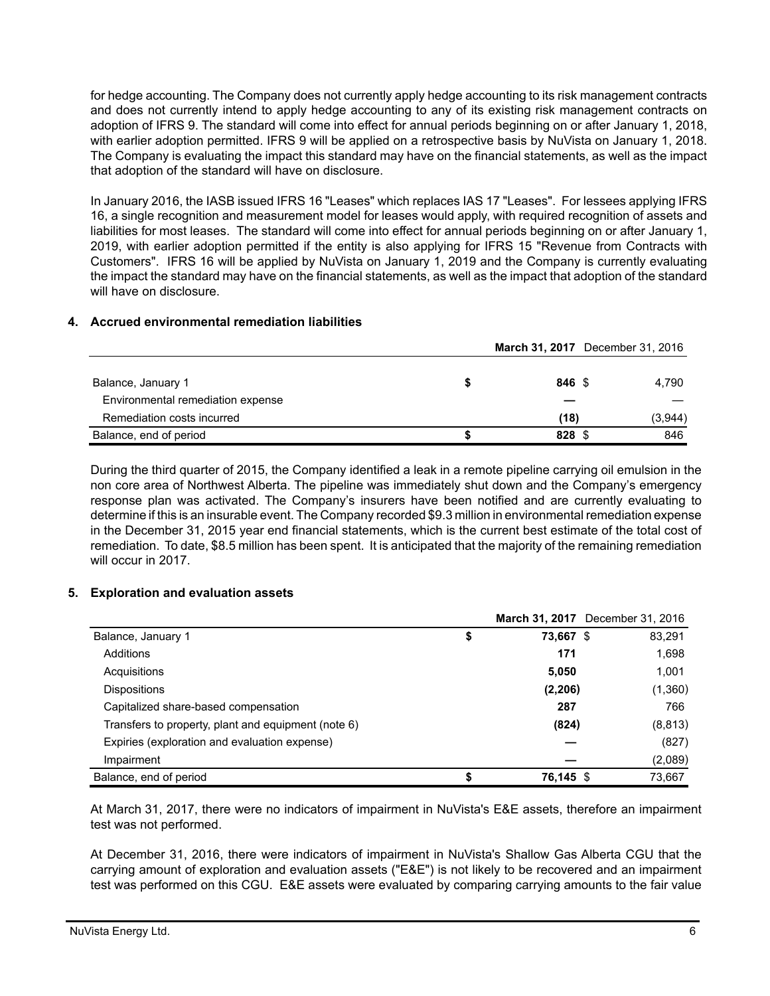for hedge accounting. The Company does not currently apply hedge accounting to its risk management contracts and does not currently intend to apply hedge accounting to any of its existing risk management contracts on adoption of IFRS 9. The standard will come into effect for annual periods beginning on or after January 1, 2018, with earlier adoption permitted. IFRS 9 will be applied on a retrospective basis by NuVista on January 1, 2018. The Company is evaluating the impact this standard may have on the financial statements, as well as the impact that adoption of the standard will have on disclosure.

In January 2016, the IASB issued IFRS 16 "Leases" which replaces IAS 17 "Leases". For lessees applying IFRS 16, a single recognition and measurement model for leases would apply, with required recognition of assets and liabilities for most leases. The standard will come into effect for annual periods beginning on or after January 1, 2019, with earlier adoption permitted if the entity is also applying for IFRS 15 "Revenue from Contracts with Customers". IFRS 16 will be applied by NuVista on January 1, 2019 and the Company is currently evaluating the impact the standard may have on the financial statements, as well as the impact that adoption of the standard will have on disclosure.

## **4. Accrued environmental remediation liabilities**

|                                   |        | March 31, 2017 December 31, 2016 |
|-----------------------------------|--------|----------------------------------|
|                                   |        |                                  |
| Balance, January 1                | 846 \$ | 4.790                            |
| Environmental remediation expense |        |                                  |
| Remediation costs incurred        | (18)   | (3,944)                          |
| Balance, end of period            | 828 \$ | 846                              |

During the third quarter of 2015, the Company identified a leak in a remote pipeline carrying oil emulsion in the non core area of Northwest Alberta. The pipeline was immediately shut down and the Company's emergency response plan was activated. The Company's insurers have been notified and are currently evaluating to determine if this is an insurable event. The Company recorded \$9.3 million in environmental remediation expense in the December 31, 2015 year end financial statements, which is the current best estimate of the total cost of remediation. To date, \$8.5 million has been spent. It is anticipated that the majority of the remaining remediation will occur in 2017.

#### **5. Exploration and evaluation assets**

|                                                     | March 31, 2017 December 31, 2016 |          |
|-----------------------------------------------------|----------------------------------|----------|
| Balance, January 1                                  | \$<br>73,667 \$                  | 83,291   |
| Additions                                           | 171                              | 1,698    |
| Acquisitions                                        | 5,050                            | 1,001    |
| <b>Dispositions</b>                                 | (2, 206)                         | (1,360)  |
| Capitalized share-based compensation                | 287                              | 766      |
| Transfers to property, plant and equipment (note 6) | (824)                            | (8, 813) |
| Expiries (exploration and evaluation expense)       |                                  | (827)    |
| Impairment                                          |                                  | (2,089)  |
| Balance, end of period                              | \$<br>76.145 \$                  | 73.667   |

At March 31, 2017, there were no indicators of impairment in NuVista's E&E assets, therefore an impairment test was not performed.

At December 31, 2016, there were indicators of impairment in NuVista's Shallow Gas Alberta CGU that the carrying amount of exploration and evaluation assets ("E&E") is not likely to be recovered and an impairment test was performed on this CGU. E&E assets were evaluated by comparing carrying amounts to the fair value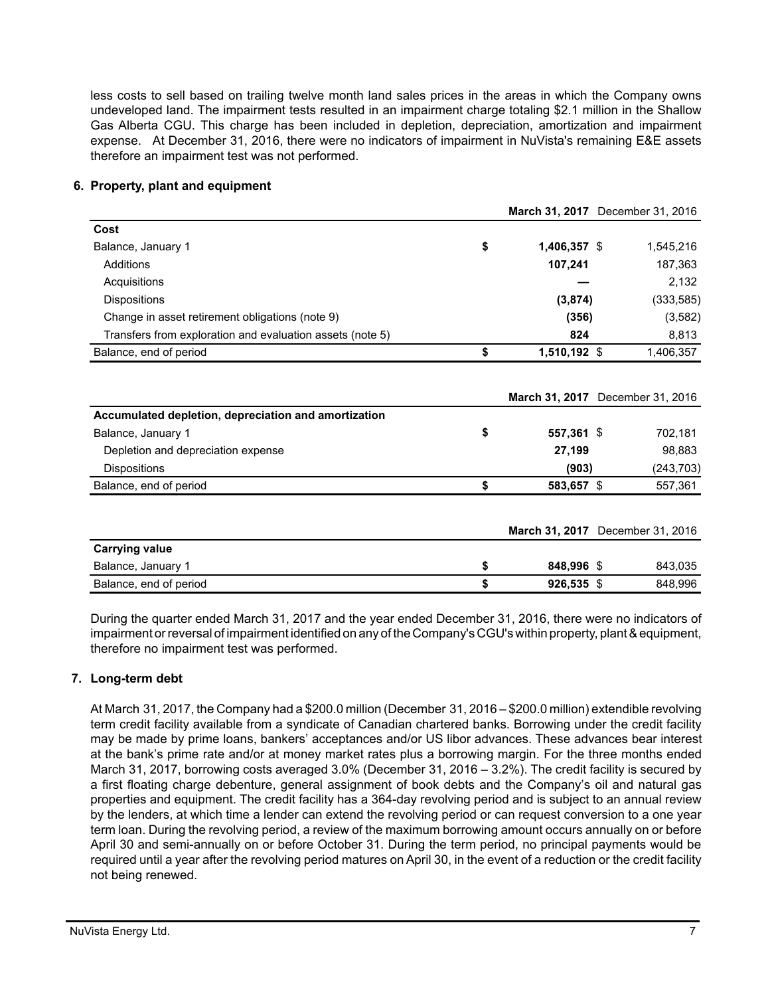less costs to sell based on trailing twelve month land sales prices in the areas in which the Company owns undeveloped land. The impairment tests resulted in an impairment charge totaling \$2.1 million in the Shallow Gas Alberta CGU. This charge has been included in depletion, depreciation, amortization and impairment expense. At December 31, 2016, there were no indicators of impairment in NuVista's remaining E&E assets therefore an impairment test was not performed.

#### **6. Property, plant and equipment**

|                                                           |                    | March 31, 2017 December 31, 2016 |
|-----------------------------------------------------------|--------------------|----------------------------------|
| Cost                                                      |                    |                                  |
| Balance, January 1                                        | \$<br>1,406,357 \$ | 1,545,216                        |
| Additions                                                 | 107,241            | 187,363                          |
| Acquisitions                                              |                    | 2,132                            |
| <b>Dispositions</b>                                       | (3,874)            | (333, 585)                       |
| Change in asset retirement obligations (note 9)           | (356)              | (3, 582)                         |
| Transfers from exploration and evaluation assets (note 5) | 824                | 8,813                            |
| Balance, end of period                                    | \$<br>1,510,192 \$ | 1,406,357                        |
| Accumulated depletion, depreciation and amortization      |                    | March 31, 2017 December 31, 2016 |
| Balance, January 1                                        | \$<br>557,361 \$   | 702,181                          |
| Depletion and depreciation expense                        | 27,199             | 98,883                           |
| <b>Dispositions</b>                                       | (903)              | (243, 703)                       |
| Balance, end of period                                    | \$<br>583,657 \$   | 557,361                          |
|                                                           |                    | March 31, 2017 December 31, 2016 |
| <b>Carrying value</b>                                     |                    |                                  |
| Balance, January 1                                        | \$<br>848,996 \$   | 843,035                          |
| Balance, end of period                                    | \$<br>926,535 \$   | 848,996                          |

During the quarter ended March 31, 2017 and the year ended December 31, 2016, there were no indicators of impairment or reversal of impairment identified on any of the Company's CGU's within property, plant & equipment, therefore no impairment test was performed.

# **7. Long-term debt**

At March 31, 2017, the Company had a \$200.0 million (December 31, 2016 – \$200.0 million) extendible revolving term credit facility available from a syndicate of Canadian chartered banks. Borrowing under the credit facility may be made by prime loans, bankers' acceptances and/or US libor advances. These advances bear interest at the bank's prime rate and/or at money market rates plus a borrowing margin. For the three months ended March 31, 2017, borrowing costs averaged 3.0% (December 31, 2016 – 3.2%). The credit facility is secured by a first floating charge debenture, general assignment of book debts and the Company's oil and natural gas properties and equipment. The credit facility has a 364-day revolving period and is subject to an annual review by the lenders, at which time a lender can extend the revolving period or can request conversion to a one year term loan. During the revolving period, a review of the maximum borrowing amount occurs annually on or before April 30 and semi-annually on or before October 31. During the term period, no principal payments would be required until a year after the revolving period matures on April 30, in the event of a reduction or the credit facility not being renewed.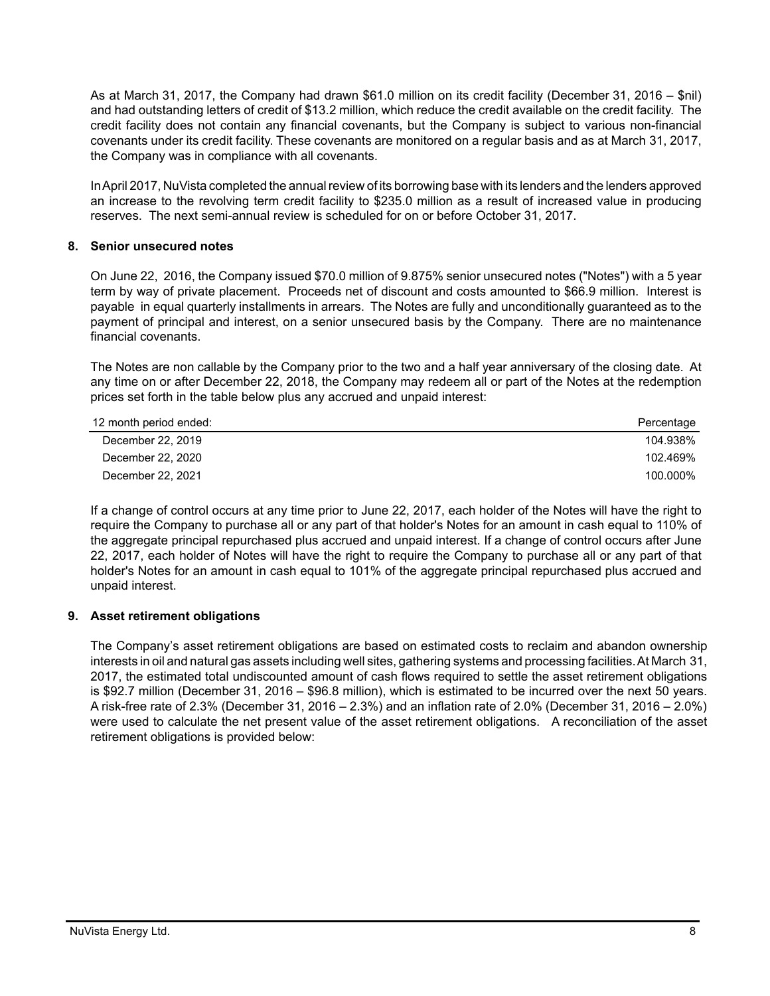As at March 31, 2017, the Company had drawn \$61.0 million on its credit facility (December 31, 2016 – \$nil) and had outstanding letters of credit of \$13.2 million, which reduce the credit available on the credit facility. The credit facility does not contain any financial covenants, but the Company is subject to various non-financial covenants under its credit facility. These covenants are monitored on a regular basis and as at March 31, 2017, the Company was in compliance with all covenants.

In April 2017, NuVista completed the annual review of its borrowing base with its lenders and the lenders approved an increase to the revolving term credit facility to \$235.0 million as a result of increased value in producing reserves. The next semi-annual review is scheduled for on or before October 31, 2017.

#### **8. Senior unsecured notes**

On June 22, 2016, the Company issued \$70.0 million of 9.875% senior unsecured notes ("Notes") with a 5 year term by way of private placement. Proceeds net of discount and costs amounted to \$66.9 million. Interest is payable in equal quarterly installments in arrears. The Notes are fully and unconditionally guaranteed as to the payment of principal and interest, on a senior unsecured basis by the Company. There are no maintenance financial covenants.

The Notes are non callable by the Company prior to the two and a half year anniversary of the closing date. At any time on or after December 22, 2018, the Company may redeem all or part of the Notes at the redemption prices set forth in the table below plus any accrued and unpaid interest:

| 12 month period ended: | Percentage |
|------------------------|------------|
| December 22, 2019      | 104.938%   |
| December 22, 2020      | 102.469%   |
| December 22, 2021      | 100.000%   |

If a change of control occurs at any time prior to June 22, 2017, each holder of the Notes will have the right to require the Company to purchase all or any part of that holder's Notes for an amount in cash equal to 110% of the aggregate principal repurchased plus accrued and unpaid interest. If a change of control occurs after June 22, 2017, each holder of Notes will have the right to require the Company to purchase all or any part of that holder's Notes for an amount in cash equal to 101% of the aggregate principal repurchased plus accrued and unpaid interest.

# **9. Asset retirement obligations**

The Company's asset retirement obligations are based on estimated costs to reclaim and abandon ownership interests in oil and natural gas assets including well sites, gathering systems and processing facilities. At March 31, 2017, the estimated total undiscounted amount of cash flows required to settle the asset retirement obligations is \$92.7 million (December 31, 2016 – \$96.8 million), which is estimated to be incurred over the next 50 years. A risk-free rate of 2.3% (December 31, 2016 – 2.3%) and an inflation rate of 2.0% (December 31, 2016 – 2.0%) were used to calculate the net present value of the asset retirement obligations. A reconciliation of the asset retirement obligations is provided below: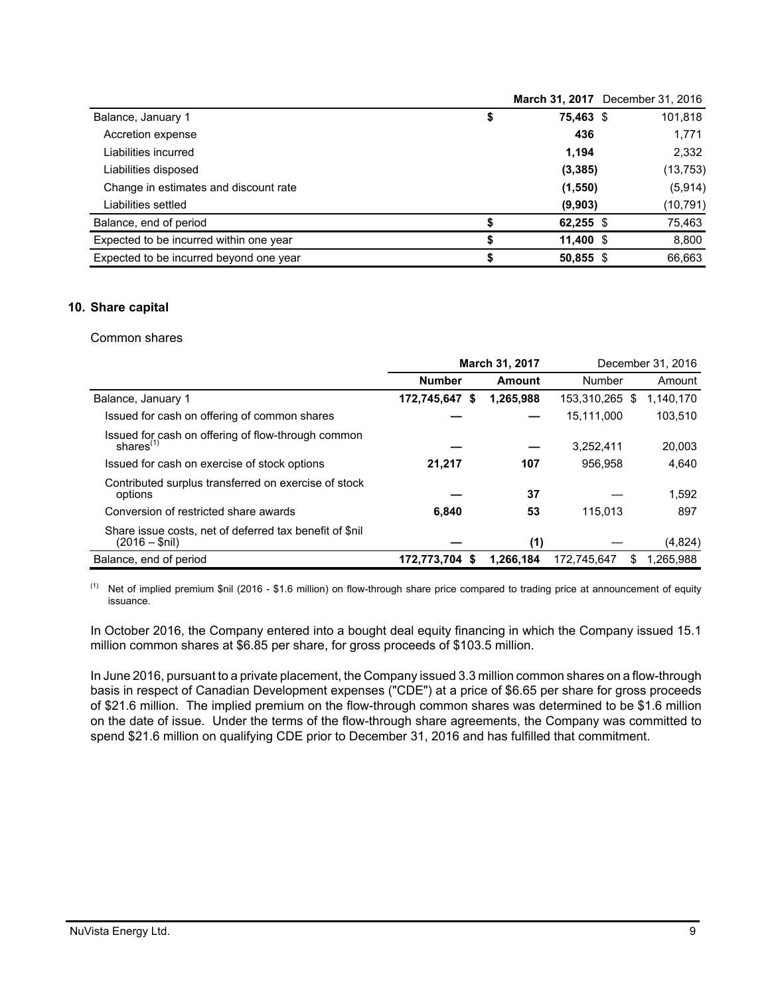|                                         |             | March 31, 2017 December 31, 2016 |
|-----------------------------------------|-------------|----------------------------------|
| Balance, January 1<br>\$                | 75,463 \$   | 101,818                          |
| Accretion expense                       | 436         | 1,771                            |
| Liabilities incurred                    | 1.194       | 2,332                            |
| Liabilities disposed                    | (3, 385)    | (13, 753)                        |
| Change in estimates and discount rate   | (1, 550)    | (5, 914)                         |
| Liabilities settled                     | (9,903)     | (10, 791)                        |
| Balance, end of period                  | 62,255 $$$  | 75,463                           |
| Expected to be incurred within one year | $11,400$ \$ | 8,800                            |
| Expected to be incurred beyond one year | 50,855 \$   | 66,663                           |

#### **10. Share capital**

#### Common shares

|                                                                            | <b>March 31, 2017</b> |           |             |      | December 31, 2016 |
|----------------------------------------------------------------------------|-----------------------|-----------|-------------|------|-------------------|
|                                                                            | <b>Number</b>         | Amount    | Number      |      | Amount            |
| Balance, January 1                                                         | 172,745,647<br>- \$   | 1.265.988 | 153.310.265 | - \$ | 1.140.170         |
| Issued for cash on offering of common shares                               |                       |           | 15,111,000  |      | 103,510           |
| Issued for cash on offering of flow-through common<br>shares $(1)$         |                       |           | 3,252,411   |      | 20,003            |
| Issued for cash on exercise of stock options                               | 21,217                | 107       | 956.958     |      | 4,640             |
| Contributed surplus transferred on exercise of stock<br>options            |                       | 37        |             |      | 1.592             |
| Conversion of restricted share awards                                      | 6.840                 | 53        | 115.013     |      | 897               |
| Share issue costs, net of deferred tax benefit of \$nil<br>$(2016 - $nil)$ |                       | (1)       |             |      | (4,824)           |
| Balance, end of period                                                     | 172,773,704 \$        | 1,266,184 | 172.745.647 | S.   | 1.265.988         |

(1) Net of implied premium \$nil (2016 - \$1.6 million) on flow-through share price compared to trading price at announcement of equity issuance.

In October 2016, the Company entered into a bought deal equity financing in which the Company issued 15.1 million common shares at \$6.85 per share, for gross proceeds of \$103.5 million.

In June 2016, pursuant to a private placement, the Company issued 3.3 million common shares on a flow-through basis in respect of Canadian Development expenses ("CDE") at a price of \$6.65 per share for gross proceeds of \$21.6 million. The implied premium on the flow-through common shares was determined to be \$1.6 million on the date of issue. Under the terms of the flow-through share agreements, the Company was committed to spend \$21.6 million on qualifying CDE prior to December 31, 2016 and has fulfilled that commitment.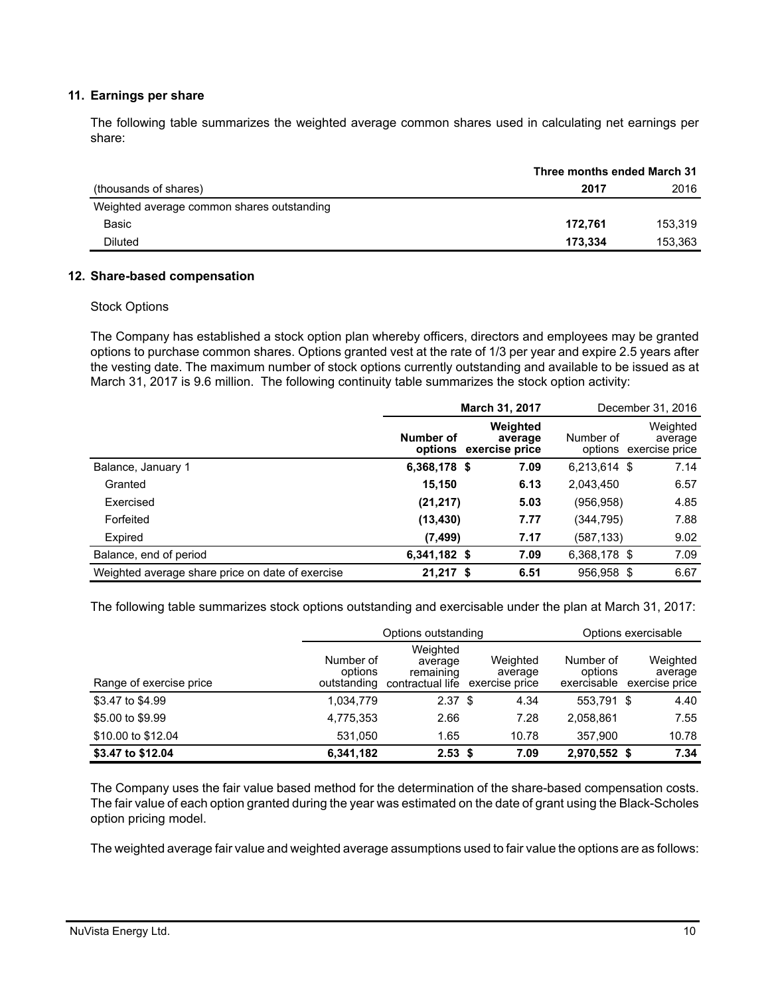#### **11. Earnings per share**

The following table summarizes the weighted average common shares used in calculating net earnings per share:

|                                            | Three months ended March 31 |         |  |
|--------------------------------------------|-----------------------------|---------|--|
| (thousands of shares)                      | 2017                        | 2016    |  |
| Weighted average common shares outstanding |                             |         |  |
| Basic                                      | 172.761                     | 153.319 |  |
| Diluted                                    | 173.334                     | 153,363 |  |

#### **12. Share-based compensation**

#### Stock Options

The Company has established a stock option plan whereby officers, directors and employees may be granted options to purchase common shares. Options granted vest at the rate of 1/3 per year and expire 2.5 years after the vesting date. The maximum number of stock options currently outstanding and available to be issued as at March 31, 2017 is 9.6 million. The following continuity table summarizes the stock option activity:

|                                                  | March 31, 2017                      |                     |              | December 31, 2016                             |
|--------------------------------------------------|-------------------------------------|---------------------|--------------|-----------------------------------------------|
|                                                  | Number of<br>options exercise price | Weighted<br>average | Number of    | Weighted<br>average<br>options exercise price |
| Balance, January 1                               | 6,368,178 \$                        | 7.09                | 6,213,614 \$ | 7.14                                          |
| Granted                                          | 15,150                              | 6.13                | 2,043,450    | 6.57                                          |
| Exercised                                        | (21, 217)                           | 5.03                | (956, 958)   | 4.85                                          |
| Forfeited                                        | (13, 430)                           | 7.77                | (344,795)    | 7.88                                          |
| Expired                                          | (7, 499)                            | 7.17                | (587,133)    | 9.02                                          |
| Balance, end of period                           | 6,341,182 \$                        | 7.09                | 6,368,178 \$ | 7.09                                          |
| Weighted average share price on date of exercise | $21,217$ \$                         | 6.51                | 956,958 \$   | 6.67                                          |

The following table summarizes stock options outstanding and exercisable under the plan at March 31, 2017:

|                         |                                     | Options outstanding                                  |                                       | Options exercisable                 |                                       |  |  |
|-------------------------|-------------------------------------|------------------------------------------------------|---------------------------------------|-------------------------------------|---------------------------------------|--|--|
| Range of exercise price | Number of<br>options<br>outstanding | Weighted<br>average<br>remaining<br>contractual life | Weighted<br>average<br>exercise price | Number of<br>options<br>exercisable | Weighted<br>average<br>exercise price |  |  |
| \$3.47 to \$4.99        | 1,034,779                           | 2.37 <sup>5</sup>                                    | 4.34                                  | 553.791 \$                          | 4.40                                  |  |  |
| \$5,00 to \$9.99        | 4,775,353                           | 2.66                                                 | 7.28                                  | 2,058,861                           | 7.55                                  |  |  |
| \$10.00 to \$12.04      | 531.050                             | 1.65                                                 | 10.78                                 | 357.900                             | 10.78                                 |  |  |
| \$3.47 to \$12.04       | 6,341,182                           | $2.53$ \$                                            | 7.09                                  | 2,970,552 \$                        | 7.34                                  |  |  |

The Company uses the fair value based method for the determination of the share-based compensation costs. The fair value of each option granted during the year was estimated on the date of grant using the Black-Scholes option pricing model.

The weighted average fair value and weighted average assumptions used to fair value the options are as follows: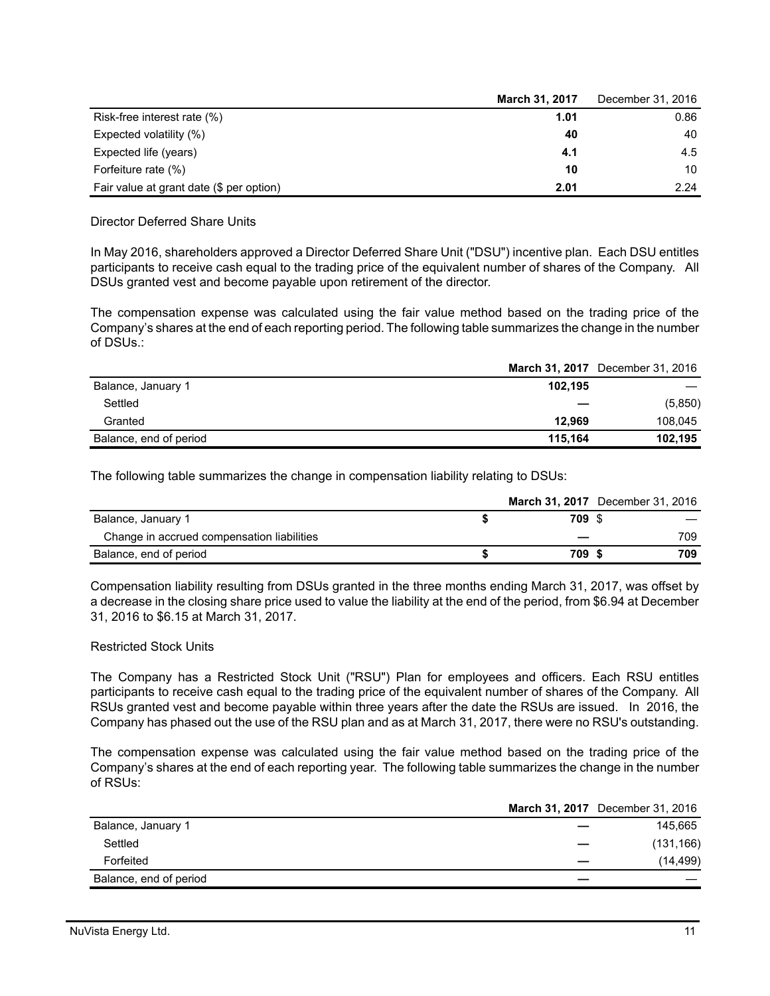|                                          | March 31, 2017 | December 31, 2016 |
|------------------------------------------|----------------|-------------------|
| Risk-free interest rate (%)              | 1.01           | 0.86              |
| Expected volatility (%)                  | 40             | 40                |
| Expected life (years)                    | 4.1            | 4.5               |
| Forfeiture rate (%)                      | 10             | 10                |
| Fair value at grant date (\$ per option) | 2.01           | 2.24              |

Director Deferred Share Units

In May 2016, shareholders approved a Director Deferred Share Unit ("DSU") incentive plan. Each DSU entitles participants to receive cash equal to the trading price of the equivalent number of shares of the Company. All DSUs granted vest and become payable upon retirement of the director.

The compensation expense was calculated using the fair value method based on the trading price of the Company's shares at the end of each reporting period. The following table summarizes the change in the number of DSUs.:

|                        |         | March 31, 2017 December 31, 2016 |
|------------------------|---------|----------------------------------|
| Balance, January 1     | 102.195 |                                  |
| Settled                |         | (5,850)                          |
| Granted                | 12.969  | 108.045                          |
| Balance, end of period | 115.164 | 102.195                          |

The following table summarizes the change in compensation liability relating to DSUs:

|                                            |        | <b>March 31, 2017</b> December 31, 2016 |
|--------------------------------------------|--------|-----------------------------------------|
| Balance, January 1                         | 709 \$ |                                         |
| Change in accrued compensation liabilities |        | 709                                     |
| Balance, end of period                     | 709    | 709                                     |

Compensation liability resulting from DSUs granted in the three months ending March 31, 2017, was offset by a decrease in the closing share price used to value the liability at the end of the period, from \$6.94 at December 31, 2016 to \$6.15 at March 31, 2017.

#### Restricted Stock Units

The Company has a Restricted Stock Unit ("RSU") Plan for employees and officers. Each RSU entitles participants to receive cash equal to the trading price of the equivalent number of shares of the Company. All RSUs granted vest and become payable within three years after the date the RSUs are issued. In 2016, the Company has phased out the use of the RSU plan and as at March 31, 2017, there were no RSU's outstanding.

The compensation expense was calculated using the fair value method based on the trading price of the Company's shares at the end of each reporting year. The following table summarizes the change in the number of RSUs:

|                        |   | March 31, 2017 December 31, 2016 |
|------------------------|---|----------------------------------|
| Balance, January 1     |   | 145,665                          |
| Settled                |   | (131, 166)                       |
| Forfeited              |   | (14, 499)                        |
| Balance, end of period | _ |                                  |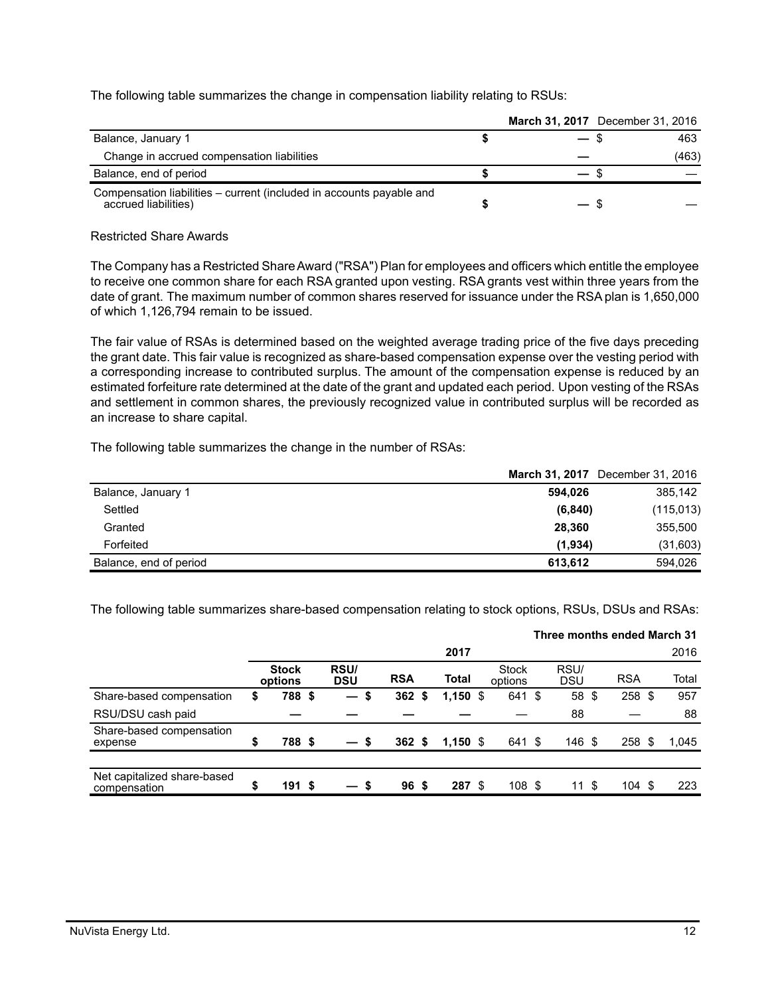The following table summarizes the change in compensation liability relating to RSUs:

|                                                                                              | March 31, 2017 December 31, 2016 |   |       |
|----------------------------------------------------------------------------------------------|----------------------------------|---|-------|
| Balance, January 1                                                                           |                                  |   | 463   |
| Change in accrued compensation liabilities                                                   |                                  |   | (463) |
| Balance, end of period                                                                       |                                  |   |       |
| Compensation liabilities – current (included in accounts payable and<br>accrued liabilities) |                                  | S |       |

#### Restricted Share Awards

The Company has a Restricted Share Award ("RSA") Plan for employees and officers which entitle the employee to receive one common share for each RSA granted upon vesting. RSA grants vest within three years from the date of grant. The maximum number of common shares reserved for issuance under the RSA plan is 1,650,000 of which 1,126,794 remain to be issued.

The fair value of RSAs is determined based on the weighted average trading price of the five days preceding the grant date. This fair value is recognized as share-based compensation expense over the vesting period with a corresponding increase to contributed surplus. The amount of the compensation expense is reduced by an estimated forfeiture rate determined at the date of the grant and updated each period. Upon vesting of the RSAs and settlement in common shares, the previously recognized value in contributed surplus will be recorded as an increase to share capital.

The following table summarizes the change in the number of RSAs:

|                        |          | March 31, 2017 December 31, 2016 |
|------------------------|----------|----------------------------------|
| Balance, January 1     | 594.026  | 385,142                          |
| Settled                | (6, 840) | (115, 013)                       |
| Granted                | 28,360   | 355,500                          |
| Forfeited              | (1,934)  | (31,603)                         |
| Balance, end of period | 613,612  | 594.026                          |

The following table summarizes share-based compensation relating to stock options, RSUs, DSUs and RSAs:

|                                             |                         |                          |                 |   |              |                         |                    |      | Three months ended March 31 |       |
|---------------------------------------------|-------------------------|--------------------------|-----------------|---|--------------|-------------------------|--------------------|------|-----------------------------|-------|
|                                             |                         |                          |                 |   | 2017         |                         |                    |      |                             | 2016  |
|                                             | <b>Stock</b><br>options | RSU/<br><b>DSU</b>       | <b>RSA</b>      |   | <b>Total</b> | <b>Stock</b><br>options | RSU/<br><b>DSU</b> |      | <b>RSA</b>                  | Total |
| Share-based compensation                    | \$<br>788 \$            | $\overline{\phantom{0}}$ | \$<br>362       | S | $1,150$ \$   | 641 \$                  | 58 \$              |      | 258 \$                      | 957   |
| RSU/DSU cash paid                           |                         |                          |                 |   |              |                         | 88                 |      |                             | 88    |
| Share-based compensation<br>expense         | \$<br>788 \$            | — S                      | 362S            |   | $1,150$ \$   | 641 \$                  | 146 \$             |      | 258 <sup>°</sup>            | 1,045 |
|                                             |                         |                          |                 |   |              |                         |                    |      |                             |       |
| Net capitalized share-based<br>compensation | 191S                    | — S                      | 96 <sup>5</sup> |   | 287 \$       | 108 \$                  | 11                 | - \$ | 104S                        | 223   |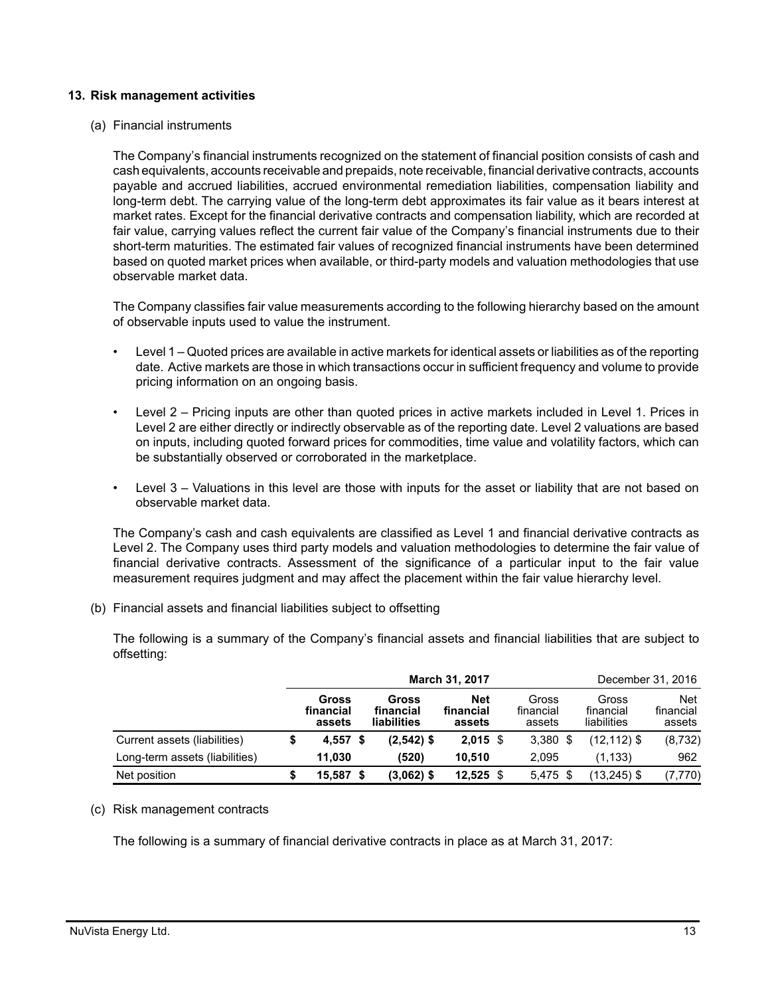#### **13. Risk management activities**

(a) Financial instruments

The Company's financial instruments recognized on the statement of financial position consists of cash and cash equivalents, accounts receivable and prepaids, note receivable, financial derivative contracts, accounts payable and accrued liabilities, accrued environmental remediation liabilities, compensation liability and long-term debt. The carrying value of the long-term debt approximates its fair value as it bears interest at market rates. Except for the financial derivative contracts and compensation liability, which are recorded at fair value, carrying values reflect the current fair value of the Company's financial instruments due to their short-term maturities. The estimated fair values of recognized financial instruments have been determined based on quoted market prices when available, or third-party models and valuation methodologies that use observable market data.

The Company classifies fair value measurements according to the following hierarchy based on the amount of observable inputs used to value the instrument.

- Level 1 Quoted prices are available in active markets for identical assets or liabilities as of the reporting date. Active markets are those in which transactions occur in sufficient frequency and volume to provide pricing information on an ongoing basis.
- Level 2 Pricing inputs are other than quoted prices in active markets included in Level 1. Prices in Level 2 are either directly or indirectly observable as of the reporting date. Level 2 valuations are based on inputs, including quoted forward prices for commodities, time value and volatility factors, which can be substantially observed or corroborated in the marketplace.
- Level 3 Valuations in this level are those with inputs for the asset or liability that are not based on observable market data.

The Company's cash and cash equivalents are classified as Level 1 and financial derivative contracts as Level 2. The Company uses third party models and valuation methodologies to determine the fair value of financial derivative contracts. Assessment of the significance of a particular input to the fair value measurement requires judgment and may affect the placement within the fair value hierarchy level.

(b) Financial assets and financial liabilities subject to offsetting

The following is a summary of the Company's financial assets and financial liabilities that are subject to offsetting:

|                                | March 31, 2017 |                              |      |                                   |                                   |  |                              |                                   | December 31, 2016                 |
|--------------------------------|----------------|------------------------------|------|-----------------------------------|-----------------------------------|--|------------------------------|-----------------------------------|-----------------------------------|
|                                |                | Gross<br>financial<br>assets |      | Gross<br>financial<br>liabilities | <b>Net</b><br>financial<br>assets |  | Gross<br>financial<br>assets | Gross<br>financial<br>liabilities | <b>Net</b><br>financial<br>assets |
| Current assets (liabilities)   |                | 4.557                        | - \$ | $(2,542)$ \$                      | $2,015$ \$                        |  | $3,380$ \$                   | (12,112) \$                       | (8, 732)                          |
| Long-term assets (liabilities) |                | 11.030                       |      | (520)                             | 10.510                            |  | 2.095                        | (1, 133)                          | 962                               |
| Net position                   |                | 15.587 \$                    |      | $(3,062)$ \$                      | $12,525$ \$                       |  | $5,475$ \$                   | (13,245) \$                       | (7, 770)                          |

#### (c) Risk management contracts

The following is a summary of financial derivative contracts in place as at March 31, 2017: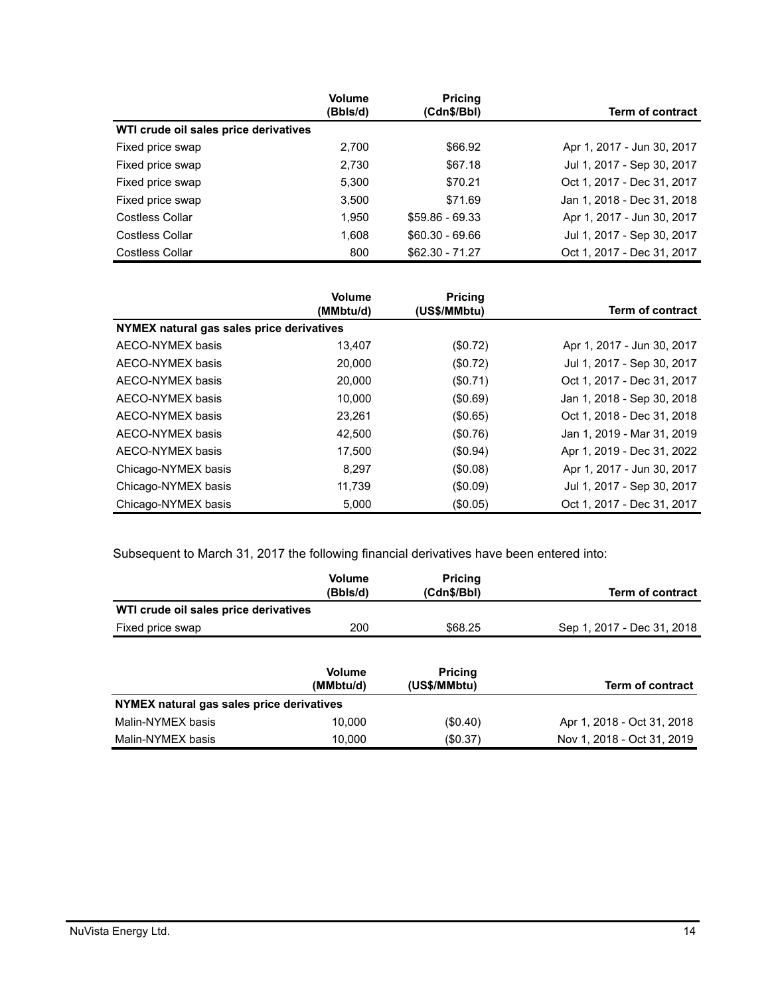|                                       | <b>Volume</b><br>(Bbls/d) | <b>Pricing</b><br>(Cdn\$/Bbl) | Term of contract           |
|---------------------------------------|---------------------------|-------------------------------|----------------------------|
| WTI crude oil sales price derivatives |                           |                               |                            |
| Fixed price swap                      | 2,700                     | \$66.92                       | Apr 1, 2017 - Jun 30, 2017 |
| Fixed price swap                      | 2,730                     | \$67.18                       | Jul 1, 2017 - Sep 30, 2017 |
| Fixed price swap                      | 5.300                     | \$70.21                       | Oct 1, 2017 - Dec 31, 2017 |
| Fixed price swap                      | 3,500                     | \$71.69                       | Jan 1, 2018 - Dec 31, 2018 |
| Costless Collar                       | 1.950                     | $$59.86 - 69.33$              | Apr 1, 2017 - Jun 30, 2017 |
| Costless Collar                       | 1.608                     | $$60.30 - 69.66$              | Jul 1, 2017 - Sep 30, 2017 |
| <b>Costless Collar</b>                | 800                       | $$62.30 - 71.27$              | Oct 1, 2017 - Dec 31, 2017 |

|                                           | <b>Volume</b><br>(MMbtu/d) | <b>Pricing</b><br>(US\$/MMbtu) | Term of contract           |
|-------------------------------------------|----------------------------|--------------------------------|----------------------------|
| NYMEX natural gas sales price derivatives |                            |                                |                            |
| AECO-NYMEX basis                          | 13,407                     | (\$0.72)                       | Apr 1, 2017 - Jun 30, 2017 |
| AECO-NYMEX basis                          | 20,000                     | (\$0.72)                       | Jul 1, 2017 - Sep 30, 2017 |
| AECO-NYMEX basis                          | 20,000                     | (\$0.71)                       | Oct 1, 2017 - Dec 31, 2017 |
| AECO-NYMEX basis                          | 10.000                     | (\$0.69)                       | Jan 1, 2018 - Sep 30, 2018 |
| AECO-NYMEX basis                          | 23,261                     | (\$0.65)                       | Oct 1, 2018 - Dec 31, 2018 |
| AECO-NYMEX basis                          | 42.500                     | (\$0.76)                       | Jan 1, 2019 - Mar 31, 2019 |
| AECO-NYMEX basis                          | 17.500                     | (\$0.94)                       | Apr 1, 2019 - Dec 31, 2022 |
| Chicago-NYMEX basis                       | 8.297                      | (\$0.08)                       | Apr 1, 2017 - Jun 30, 2017 |
| Chicago-NYMEX basis                       | 11.739                     | $($ \$0.09)                    | Jul 1, 2017 - Sep 30, 2017 |
| Chicago-NYMEX basis                       | 5,000                      | (\$0.05)                       | Oct 1, 2017 - Dec 31, 2017 |

Subsequent to March 31, 2017 the following financial derivatives have been entered into:

|                                           | <b>Volume</b><br>(Bbls/d)  | <b>Pricing</b><br>(Cdn\$/Bbl)  | <b>Term of contract</b>    |
|-------------------------------------------|----------------------------|--------------------------------|----------------------------|
| WTI crude oil sales price derivatives     |                            |                                |                            |
| Fixed price swap                          | 200                        | \$68.25                        | Sep 1, 2017 - Dec 31, 2018 |
|                                           | <b>Volume</b><br>(MMbtu/d) | <b>Pricing</b><br>(US\$/MMbtu) | <b>Term of contract</b>    |
| NYMEX natural gas sales price derivatives |                            |                                |                            |
| Malin-NYMEX basis                         | 10.000                     | $(\$0.40)$                     | Apr 1, 2018 - Oct 31, 2018 |
| Malin-NYMEX basis                         | 10.000                     | (\$0.37)                       | Nov 1, 2018 - Oct 31, 2019 |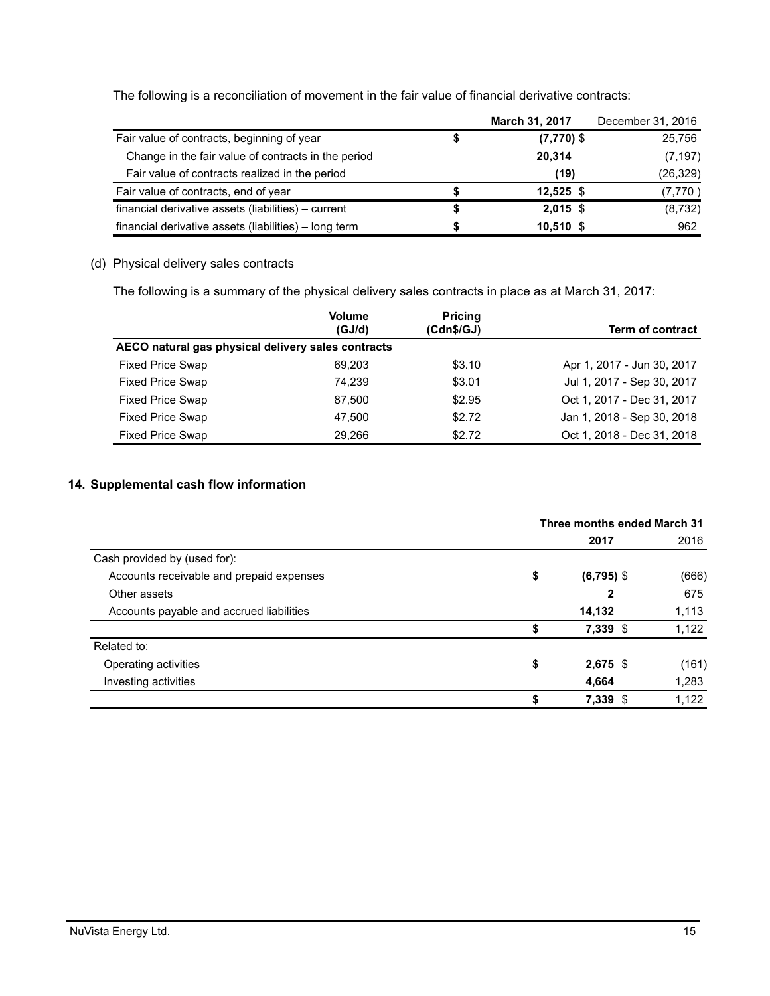The following is a reconciliation of movement in the fair value of financial derivative contracts:

|                                                       | March 31, 2017 | December 31, 2016 |
|-------------------------------------------------------|----------------|-------------------|
| Fair value of contracts, beginning of year            | $(7,770)$ \$   | 25,756            |
| Change in the fair value of contracts in the period   | 20,314         | (7, 197)          |
| Fair value of contracts realized in the period        | (19)           | (26, 329)         |
| Fair value of contracts, end of year                  | $12.525$ \$    | (7,770)           |
| financial derivative assets (liabilities) – current   | $2,015$ \$     | (8,732)           |
| financial derivative assets (liabilities) - long term | $10,510$ \$    | 962               |

# (d) Physical delivery sales contracts

The following is a summary of the physical delivery sales contracts in place as at March 31, 2017:

|                                                    | <b>Volume</b><br>(GJ/d) | <b>Pricing</b><br>(Cdn\$/GJ) | <b>Term of contract</b>    |  |  |
|----------------------------------------------------|-------------------------|------------------------------|----------------------------|--|--|
| AECO natural gas physical delivery sales contracts |                         |                              |                            |  |  |
| <b>Fixed Price Swap</b>                            | 69.203                  | \$3.10                       | Apr 1, 2017 - Jun 30, 2017 |  |  |
| <b>Fixed Price Swap</b>                            | 74.239                  | \$3.01                       | Jul 1, 2017 - Sep 30, 2017 |  |  |
| Fixed Price Swap                                   | 87.500                  | \$2.95                       | Oct 1, 2017 - Dec 31, 2017 |  |  |
| <b>Fixed Price Swap</b>                            | 47.500                  | \$2.72                       | Jan 1, 2018 - Sep 30, 2018 |  |  |
| <b>Fixed Price Swap</b>                            | 29.266                  | \$2.72                       | Oct 1, 2018 - Dec 31, 2018 |  |  |

## **14. Supplemental cash flow information**

|                                          | Three months ended March 31 |              |       |  |
|------------------------------------------|-----------------------------|--------------|-------|--|
|                                          |                             | 2017         | 2016  |  |
| Cash provided by (used for):             |                             |              |       |  |
| Accounts receivable and prepaid expenses | \$                          | $(6,795)$ \$ | (666) |  |
| Other assets                             |                             | 2            | 675   |  |
| Accounts payable and accrued liabilities |                             | 14,132       | 1,113 |  |
|                                          | \$                          | $7,339$ \$   | 1,122 |  |
| Related to:                              |                             |              |       |  |
| Operating activities                     | \$                          | $2,675$ \$   | (161) |  |
| Investing activities                     |                             | 4,664        | 1,283 |  |
|                                          | \$                          | 7,339 \$     | 1,122 |  |